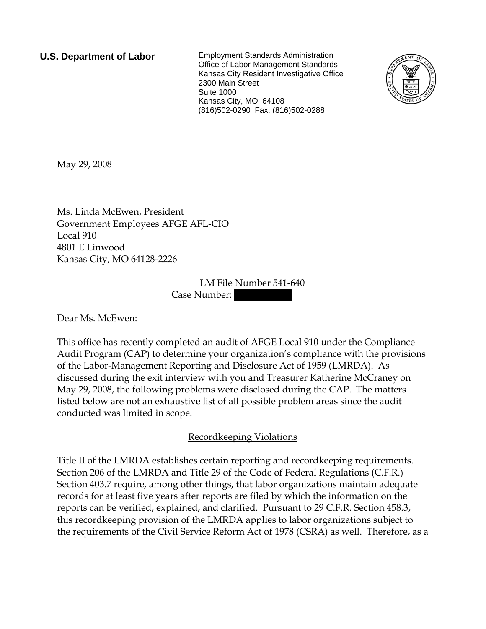**U.S. Department of Labor** Employment Standards Administration Office of Labor-Management Standards Kansas City Resident Investigative Office 2300 Main Street Suite 1000 Kansas City, MO 64108 (816)502-0290 Fax: (816)502-0288



May 29, 2008

Ms. Linda McEwen, President Government Employees AFGE AFL-CIO Local 910 4801 E Linwood Kansas City, MO 64128-2226

> LM File Number 541-640 Case Number:

Dear Ms. McEwen:

This office has recently completed an audit of AFGE Local 910 under the Compliance Audit Program (CAP) to determine your organization's compliance with the provisions of the Labor-Management Reporting and Disclosure Act of 1959 (LMRDA). As discussed during the exit interview with you and Treasurer Katherine McCraney on May 29, 2008, the following problems were disclosed during the CAP. The matters listed below are not an exhaustive list of all possible problem areas since the audit conducted was limited in scope.

## Recordkeeping Violations

Title II of the LMRDA establishes certain reporting and recordkeeping requirements. Section 206 of the LMRDA and Title 29 of the Code of Federal Regulations (C.F.R.) Section 403.7 require, among other things, that labor organizations maintain adequate records for at least five years after reports are filed by which the information on the reports can be verified, explained, and clarified. Pursuant to 29 C.F.R. Section 458.3, this recordkeeping provision of the LMRDA applies to labor organizations subject to the requirements of the Civil Service Reform Act of 1978 (CSRA) as well. Therefore, as a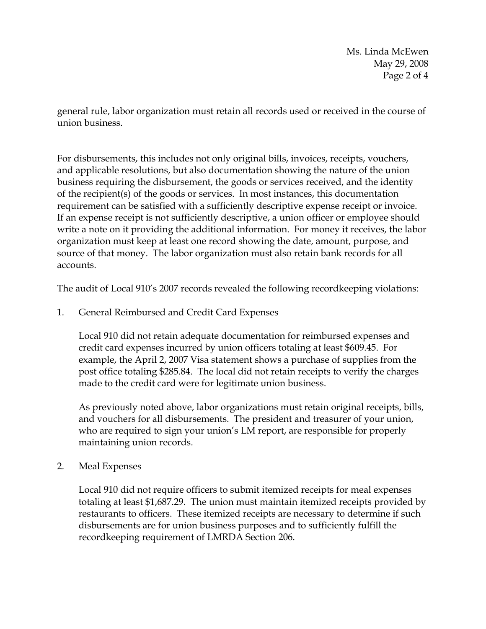Ms. Linda McEwen May 29, 2008 Page 2 of 4

general rule, labor organization must retain all records used or received in the course of union business.

For disbursements, this includes not only original bills, invoices, receipts, vouchers, and applicable resolutions, but also documentation showing the nature of the union business requiring the disbursement, the goods or services received, and the identity of the recipient(s) of the goods or services. In most instances, this documentation requirement can be satisfied with a sufficiently descriptive expense receipt or invoice. If an expense receipt is not sufficiently descriptive, a union officer or employee should write a note on it providing the additional information. For money it receives, the labor organization must keep at least one record showing the date, amount, purpose, and source of that money. The labor organization must also retain bank records for all accounts.

The audit of Local 910's 2007 records revealed the following recordkeeping violations:

1. General Reimbursed and Credit Card Expenses

Local 910 did not retain adequate documentation for reimbursed expenses and credit card expenses incurred by union officers totaling at least \$609.45. For example, the April 2, 2007 Visa statement shows a purchase of supplies from the post office totaling \$285.84. The local did not retain receipts to verify the charges made to the credit card were for legitimate union business.

As previously noted above, labor organizations must retain original receipts, bills, and vouchers for all disbursements. The president and treasurer of your union, who are required to sign your union's LM report, are responsible for properly maintaining union records.

## 2. Meal Expenses

Local 910 did not require officers to submit itemized receipts for meal expenses totaling at least \$1,687.29. The union must maintain itemized receipts provided by restaurants to officers. These itemized receipts are necessary to determine if such disbursements are for union business purposes and to sufficiently fulfill the recordkeeping requirement of LMRDA Section 206.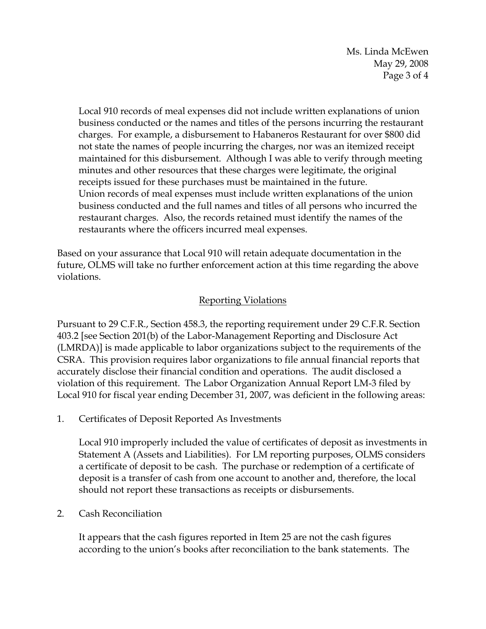Ms. Linda McEwen May 29, 2008 Page 3 of 4

Local 910 records of meal expenses did not include written explanations of union business conducted or the names and titles of the persons incurring the restaurant charges. For example, a disbursement to Habaneros Restaurant for over \$800 did not state the names of people incurring the charges, nor was an itemized receipt maintained for this disbursement. Although I was able to verify through meeting minutes and other resources that these charges were legitimate, the original receipts issued for these purchases must be maintained in the future. Union records of meal expenses must include written explanations of the union business conducted and the full names and titles of all persons who incurred the restaurant charges. Also, the records retained must identify the names of the restaurants where the officers incurred meal expenses.

Based on your assurance that Local 910 will retain adequate documentation in the future, OLMS will take no further enforcement action at this time regarding the above violations.

## Reporting Violations

Pursuant to 29 C.F.R., Section 458.3, the reporting requirement under 29 C.F.R. Section 403.2 [see Section 201(b) of the Labor-Management Reporting and Disclosure Act (LMRDA)] is made applicable to labor organizations subject to the requirements of the CSRA. This provision requires labor organizations to file annual financial reports that accurately disclose their financial condition and operations. The audit disclosed a violation of this requirement. The Labor Organization Annual Report LM-3 filed by Local 910 for fiscal year ending December 31, 2007, was deficient in the following areas:

1. Certificates of Deposit Reported As Investments

Local 910 improperly included the value of certificates of deposit as investments in Statement A (Assets and Liabilities). For LM reporting purposes, OLMS considers a certificate of deposit to be cash. The purchase or redemption of a certificate of deposit is a transfer of cash from one account to another and, therefore, the local should not report these transactions as receipts or disbursements.

2. Cash Reconciliation

It appears that the cash figures reported in Item 25 are not the cash figures according to the union's books after reconciliation to the bank statements. The